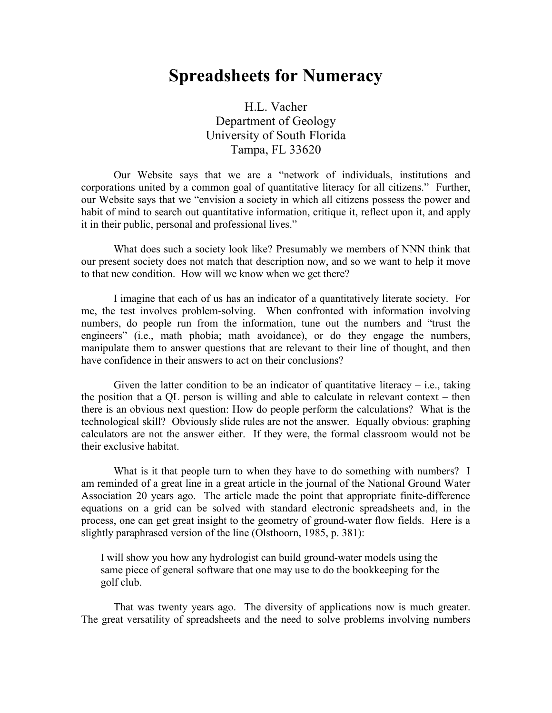# **Spreadsheets for Numeracy**

H.L. Vacher Department of Geology University of South Florida Tampa, FL 33620

Our Website says that we are a "network of individuals, institutions and corporations united by a common goal of quantitative literacy for all citizens." Further, our Website says that we "envision a society in which all citizens possess the power and habit of mind to search out quantitative information, critique it, reflect upon it, and apply it in their public, personal and professional lives."

What does such a society look like? Presumably we members of NNN think that our present society does not match that description now, and so we want to help it move to that new condition. How will we know when we get there?

I imagine that each of us has an indicator of a quantitatively literate society. For me, the test involves problem-solving. When confronted with information involving numbers, do people run from the information, tune out the numbers and "trust the engineers" (i.e., math phobia; math avoidance), or do they engage the numbers, manipulate them to answer questions that are relevant to their line of thought, and then have confidence in their answers to act on their conclusions?

Given the latter condition to be an indicator of quantitative literacy  $-$  i.e., taking the position that a QL person is willing and able to calculate in relevant context – then there is an obvious next question: How do people perform the calculations? What is the technological skill? Obviously slide rules are not the answer. Equally obvious: graphing calculators are not the answer either. If they were, the formal classroom would not be their exclusive habitat.

What is it that people turn to when they have to do something with numbers? I am reminded of a great line in a great article in the journal of the National Ground Water Association 20 years ago. The article made the point that appropriate finite-difference equations on a grid can be solved with standard electronic spreadsheets and, in the process, one can get great insight to the geometry of ground-water flow fields. Here is a slightly paraphrased version of the line (Olsthoorn, 1985, p. 381):

I will show you how any hydrologist can build ground-water models using the same piece of general software that one may use to do the bookkeeping for the golf club.

That was twenty years ago. The diversity of applications now is much greater. The great versatility of spreadsheets and the need to solve problems involving numbers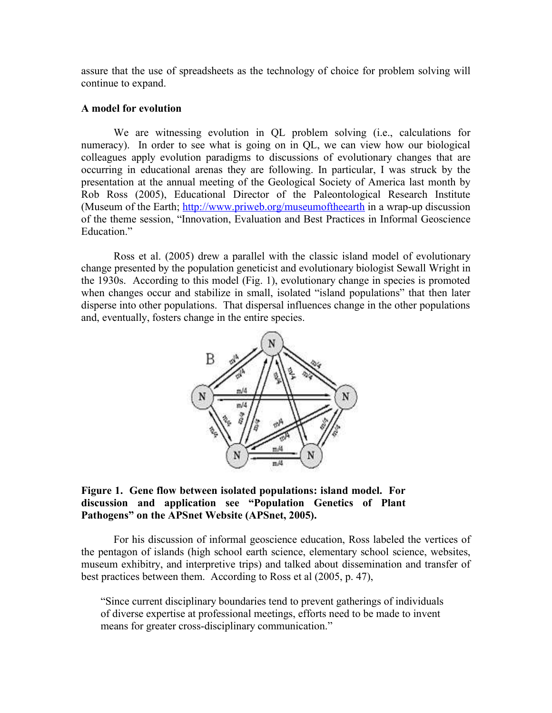assure that the use of spreadsheets as the technology of choice for problem solving will continue to expand.

## **A model for evolution**

We are witnessing evolution in QL problem solving (i.e., calculations for numeracy). In order to see what is going on in QL, we can view how our biological colleagues apply evolution paradigms to discussions of evolutionary changes that are occurring in educational arenas they are following. In particular, I was struck by the presentation at the annual meeting of the Geological Society of America last month by Rob Ross (2005), Educational Director of the Paleontological Research Institute (Museum of the Earth; http://www.priweb.org/museumoftheearth in a wrap-up discussion of the theme session, "Innovation, Evaluation and Best Practices in Informal Geoscience Education."

Ross et al. (2005) drew a parallel with the classic island model of evolutionary change presented by the population geneticist and evolutionary biologist Sewall Wright in the 1930s. According to this model (Fig. 1), evolutionary change in species is promoted when changes occur and stabilize in small, isolated "island populations" that then later disperse into other populations. That dispersal influences change in the other populations and, eventually, fosters change in the entire species.



## **Figure 1. Gene flow between isolated populations: island model. For discussion and application see "Population Genetics of Plant Pathogens" on the APSnet Website (APSnet, 2005).**

For his discussion of informal geoscience education, Ross labeled the vertices of the pentagon of islands (high school earth science, elementary school science, websites, museum exhibitry, and interpretive trips) and talked about dissemination and transfer of best practices between them. According to Ross et al (2005, p. 47),

"Since current disciplinary boundaries tend to prevent gatherings of individuals of diverse expertise at professional meetings, efforts need to be made to invent means for greater cross-disciplinary communication."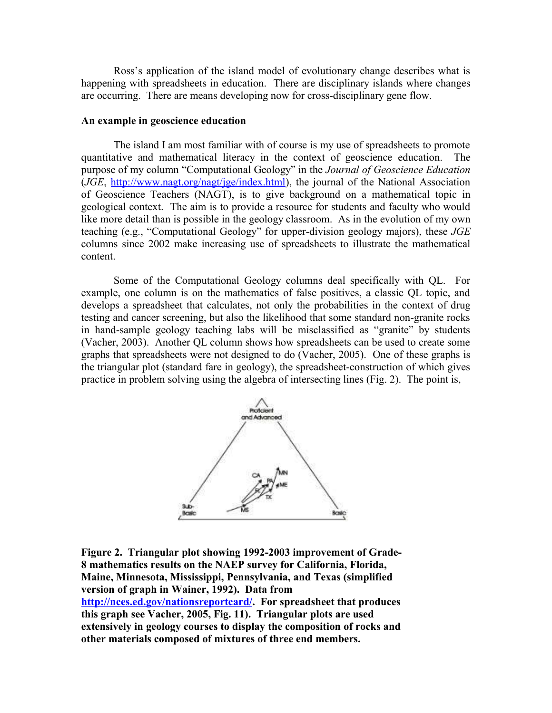Ross's application of the island model of evolutionary change describes what is happening with spreadsheets in education. There are disciplinary islands where changes are occurring. There are means developing now for cross-disciplinary gene flow.

#### **An example in geoscience education**

The island I am most familiar with of course is my use of spreadsheets to promote quantitative and mathematical literacy in the context of geoscience education. The purpose of my column "Computational Geology" in the *Journal of Geoscience Education* (*JGE*, http://www.nagt.org/nagt/jge/index.html), the journal of the National Association of Geoscience Teachers (NAGT), is to give background on a mathematical topic in geological context. The aim is to provide a resource for students and faculty who would like more detail than is possible in the geology classroom. As in the evolution of my own teaching (e.g., "Computational Geology" for upper-division geology majors), these *JGE* columns since 2002 make increasing use of spreadsheets to illustrate the mathematical content.

Some of the Computational Geology columns deal specifically with QL. For example, one column is on the mathematics of false positives, a classic QL topic, and develops a spreadsheet that calculates, not only the probabilities in the context of drug testing and cancer screening, but also the likelihood that some standard non-granite rocks in hand-sample geology teaching labs will be misclassified as "granite" by students (Vacher, 2003). Another QL column shows how spreadsheets can be used to create some graphs that spreadsheets were not designed to do (Vacher, 2005). One of these graphs is the triangular plot (standard fare in geology), the spreadsheet-construction of which gives practice in problem solving using the algebra of intersecting lines (Fig. 2). The point is,



**Figure 2. Triangular plot showing 1992-2003 improvement of Grade-8 mathematics results on the NAEP survey for California, Florida, Maine, Minnesota, Mississippi, Pennsylvania, and Texas (simplified version of graph in Wainer, 1992). Data from http://nces.ed.gov/nationsreportcard/. For spreadsheet that produces this graph see Vacher, 2005, Fig. 11). Triangular plots are used extensively in geology courses to display the composition of rocks and other materials composed of mixtures of three end members.**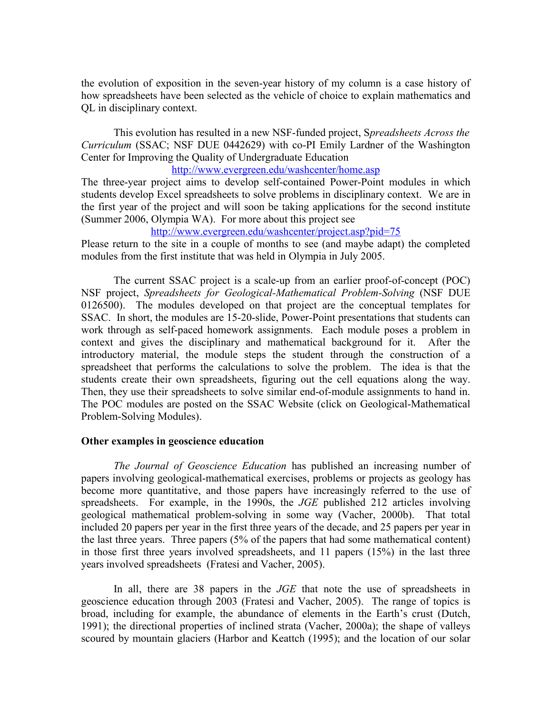the evolution of exposition in the seven-year history of my column is a case history of how spreadsheets have been selected as the vehicle of choice to explain mathematics and QL in disciplinary context.

This evolution has resulted in a new NSF-funded project, S*preadsheets Across the Curriculum* (SSAC; NSF DUE 0442629) with co-PI Emily Lardner of the Washington Center for Improving the Quality of Undergraduate Education

http://www.evergreen.edu/washcenter/home.asp

The three-year project aims to develop self-contained Power-Point modules in which students develop Excel spreadsheets to solve problems in disciplinary context. We are in the first year of the project and will soon be taking applications for the second institute (Summer 2006, Olympia WA). For more about this project see

http://www.evergreen.edu/washcenter/project.asp?pid=75

Please return to the site in a couple of months to see (and maybe adapt) the completed modules from the first institute that was held in Olympia in July 2005.

The current SSAC project is a scale-up from an earlier proof-of-concept (POC) NSF project, *Spreadsheets for Geological-Mathematical Problem-Solving* (NSF DUE 0126500). The modules developed on that project are the conceptual templates for SSAC. In short, the modules are 15-20-slide, Power-Point presentations that students can work through as self-paced homework assignments. Each module poses a problem in context and gives the disciplinary and mathematical background for it. After the introductory material, the module steps the student through the construction of a spreadsheet that performs the calculations to solve the problem. The idea is that the students create their own spreadsheets, figuring out the cell equations along the way. Then, they use their spreadsheets to solve similar end-of-module assignments to hand in. The POC modules are posted on the SSAC Website (click on Geological-Mathematical Problem-Solving Modules).

#### **Other examples in geoscience education**

*The Journal of Geoscience Education* has published an increasing number of papers involving geological-mathematical exercises, problems or projects as geology has become more quantitative, and those papers have increasingly referred to the use of spreadsheets. For example, in the 1990s, the *JGE* published 212 articles involving geological mathematical problem-solving in some way (Vacher, 2000b). That total included 20 papers per year in the first three years of the decade, and 25 papers per year in the last three years. Three papers (5% of the papers that had some mathematical content) in those first three years involved spreadsheets, and 11 papers (15%) in the last three years involved spreadsheets (Fratesi and Vacher, 2005).

In all, there are 38 papers in the *JGE* that note the use of spreadsheets in geoscience education through 2003 (Fratesi and Vacher, 2005). The range of topics is broad, including for example, the abundance of elements in the Earth's crust (Dutch, 1991); the directional properties of inclined strata (Vacher, 2000a); the shape of valleys scoured by mountain glaciers (Harbor and Keattch (1995); and the location of our solar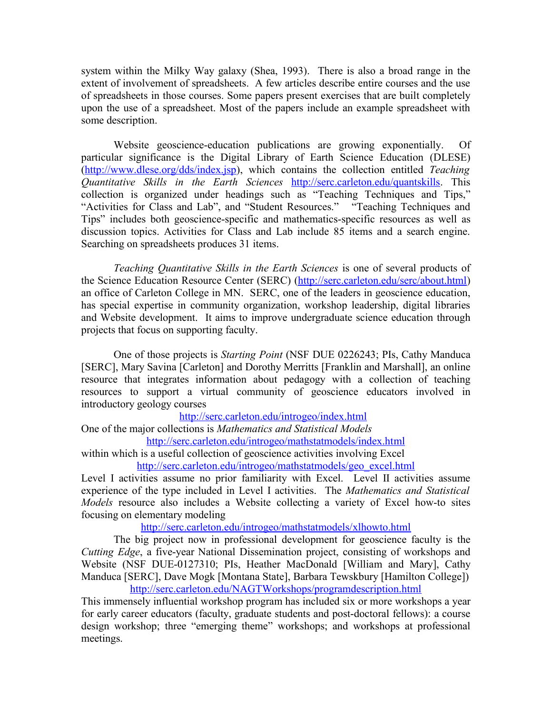system within the Milky Way galaxy (Shea, 1993). There is also a broad range in the extent of involvement of spreadsheets. A few articles describe entire courses and the use of spreadsheets in those courses. Some papers present exercises that are built completely upon the use of a spreadsheet. Most of the papers include an example spreadsheet with some description.

Website geoscience-education publications are growing exponentially. Of particular significance is the Digital Library of Earth Science Education (DLESE) (http://www.dlese.org/dds/index.jsp), which contains the collection entitled *Teaching Quantitative Skills in the Earth Sciences* http://serc.carleton.edu/quantskills. This collection is organized under headings such as "Teaching Techniques and Tips," "Activities for Class and Lab", and "Student Resources." "Teaching Techniques and Tips" includes both geoscience-specific and mathematics-specific resources as well as discussion topics. Activities for Class and Lab include 85 items and a search engine. Searching on spreadsheets produces 31 items.

*Teaching Quantitative Skills in the Earth Sciences* is one of several products of the Science Education Resource Center (SERC) (http://serc.carleton.edu/serc/about.html) an office of Carleton College in MN. SERC, one of the leaders in geoscience education, has special expertise in community organization, workshop leadership, digital libraries and Website development. It aims to improve undergraduate science education through projects that focus on supporting faculty.

One of those projects is *Starting Point* (NSF DUE 0226243; PIs, Cathy Manduca [SERC], Mary Savina [Carleton] and Dorothy Merritts [Franklin and Marshall], an online resource that integrates information about pedagogy with a collection of teaching resources to support a virtual community of geoscience educators involved in introductory geology courses

http://serc.carleton.edu/introgeo/index.html

One of the major collections is *Mathematics and Statistical Models* http://serc.carleton.edu/introgeo/mathstatmodels/index.html

within which is a useful collection of geoscience activities involving Excel http://serc.carleton.edu/introgeo/mathstatmodels/geo\_excel.html

Level I activities assume no prior familiarity with Excel. Level II activities assume experience of the type included in Level I activities. The *Mathematics and Statistical Models* resource also includes a Website collecting a variety of Excel how-to sites focusing on elementary modeling

http://serc.carleton.edu/introgeo/mathstatmodels/xlhowto.html

The big project now in professional development for geoscience faculty is the *Cutting Edge*, a five-year National Dissemination project, consisting of workshops and Website (NSF DUE-0127310; PIs, Heather MacDonald [William and Mary], Cathy Manduca [SERC], Dave Mogk [Montana State], Barbara Tewskbury [Hamilton College]) http://serc.carleton.edu/NAGTWorkshops/programdescription.html

This immensely influential workshop program has included six or more workshops a year for early career educators (faculty, graduate students and post-doctoral fellows): a course design workshop; three "emerging theme" workshops; and workshops at professional meetings.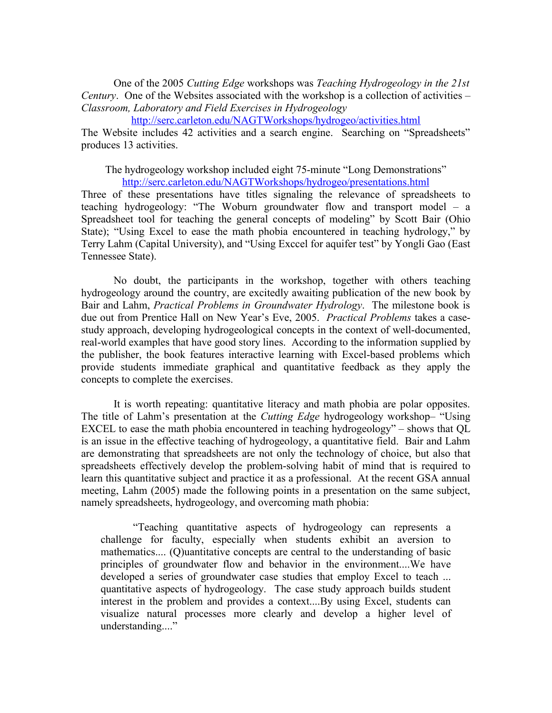One of the 2005 *Cutting Edge* workshops was *Teaching Hydrogeology in the 21st Century*. One of the Websites associated with the workshop is a collection of activities – *Classroom, Laboratory and Field Exercises in Hydrogeology*

http://serc.carleton.edu/NAGTWorkshops/hydrogeo/activities.html

The Website includes 42 activities and a search engine. Searching on "Spreadsheets" produces 13 activities.

The hydrogeology workshop included eight 75-minute "Long Demonstrations" http://serc.carleton.edu/NAGTWorkshops/hydrogeo/presentations.html

Three of these presentations have titles signaling the relevance of spreadsheets to teaching hydrogeology: "The Woburn groundwater flow and transport model – a Spreadsheet tool for teaching the general concepts of modeling" by Scott Bair (Ohio State); "Using Excel to ease the math phobia encountered in teaching hydrology," by Terry Lahm (Capital University), and "Using Exccel for aquifer test" by Yongli Gao (East Tennessee State).

No doubt, the participants in the workshop, together with others teaching hydrogeology around the country, are excitedly awaiting publication of the new book by Bair and Lahm, *Practical Problems in Groundwater Hydrology*. The milestone book is due out from Prentice Hall on New Year's Eve, 2005. *Practical Problems* takes a casestudy approach, developing hydrogeological concepts in the context of well-documented, real-world examples that have good story lines. According to the information supplied by the publisher, the book features interactive learning with Excel-based problems which provide students immediate graphical and quantitative feedback as they apply the concepts to complete the exercises.

It is worth repeating: quantitative literacy and math phobia are polar opposites. The title of Lahm's presentation at the *Cutting Edge* hydrogeology workshop– "Using EXCEL to ease the math phobia encountered in teaching hydrogeology" – shows that QL is an issue in the effective teaching of hydrogeology, a quantitative field. Bair and Lahm are demonstrating that spreadsheets are not only the technology of choice, but also that spreadsheets effectively develop the problem-solving habit of mind that is required to learn this quantitative subject and practice it as a professional. At the recent GSA annual meeting, Lahm (2005) made the following points in a presentation on the same subject, namely spreadsheets, hydrogeology, and overcoming math phobia:

"Teaching quantitative aspects of hydrogeology can represents a challenge for faculty, especially when students exhibit an aversion to mathematics.... (Q)uantitative concepts are central to the understanding of basic principles of groundwater flow and behavior in the environment....We have developed a series of groundwater case studies that employ Excel to teach ... quantitative aspects of hydrogeology. The case study approach builds student interest in the problem and provides a context....By using Excel, students can visualize natural processes more clearly and develop a higher level of understanding...."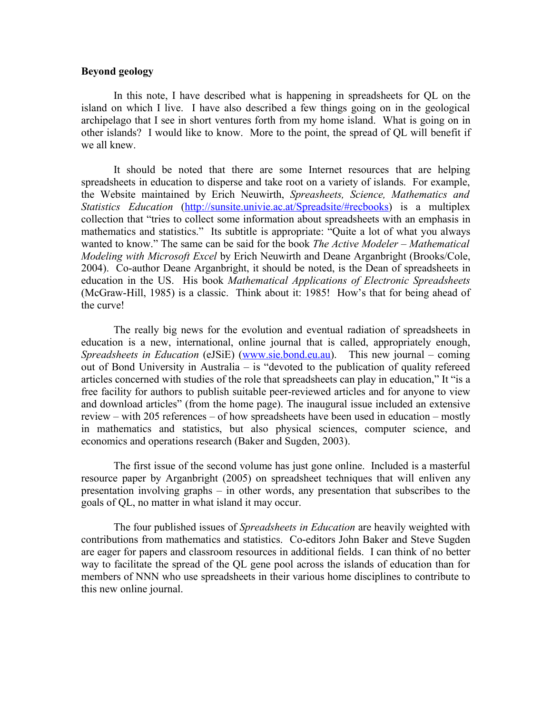### **Beyond geology**

In this note, I have described what is happening in spreadsheets for QL on the island on which I live. I have also described a few things going on in the geological archipelago that I see in short ventures forth from my home island. What is going on in other islands? I would like to know. More to the point, the spread of QL will benefit if we all knew.

It should be noted that there are some Internet resources that are helping spreadsheets in education to disperse and take root on a variety of islands. For example, the Website maintained by Erich Neuwirth, *Spreasheets, Science, Mathematics and Statistics Education* (http://sunsite.univie.ac.at/Spreadsite/#recbooks) is a multiplex collection that "tries to collect some information about spreadsheets with an emphasis in mathematics and statistics." Its subtitle is appropriate: "Quite a lot of what you always wanted to know." The same can be said for the book *The Active Modeler – Mathematical Modeling with Microsoft Excel* by Erich Neuwirth and Deane Arganbright (Brooks/Cole, 2004). Co-author Deane Arganbright, it should be noted, is the Dean of spreadsheets in education in the US. His book *Mathematical Applications of Electronic Spreadsheets* (McGraw-Hill, 1985) is a classic. Think about it: 1985! How's that for being ahead of the curve!

The really big news for the evolution and eventual radiation of spreadsheets in education is a new, international, online journal that is called, appropriately enough, *Spreadsheets in Education* (eJSiE) (www.sie.bond.eu.au). This new journal – coming out of Bond University in Australia – is "devoted to the publication of quality refereed articles concerned with studies of the role that spreadsheets can play in education," It "is a free facility for authors to publish suitable peer-reviewed articles and for anyone to view and download articles" (from the home page). The inaugural issue included an extensive review – with 205 references – of how spreadsheets have been used in education – mostly in mathematics and statistics, but also physical sciences, computer science, and economics and operations research (Baker and Sugden, 2003).

The first issue of the second volume has just gone online. Included is a masterful resource paper by Arganbright (2005) on spreadsheet techniques that will enliven any presentation involving graphs – in other words, any presentation that subscribes to the goals of QL, no matter in what island it may occur.

The four published issues of *Spreadsheets in Education* are heavily weighted with contributions from mathematics and statistics. Co-editors John Baker and Steve Sugden are eager for papers and classroom resources in additional fields. I can think of no better way to facilitate the spread of the QL gene pool across the islands of education than for members of NNN who use spreadsheets in their various home disciplines to contribute to this new online journal.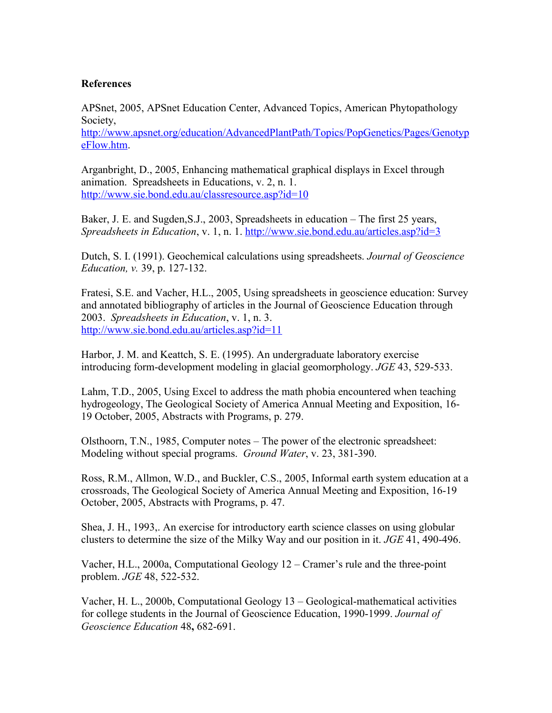## **References**

APSnet, 2005, APSnet Education Center, Advanced Topics, American Phytopathology Society,

http://www.apsnet.org/education/AdvancedPlantPath/Topics/PopGenetics/Pages/Genotyp eFlow.htm.

Arganbright, D., 2005, Enhancing mathematical graphical displays in Excel through animation. Spreadsheets in Educations, v. 2, n. 1. http://www.sie.bond.edu.au/classresource.asp?id=10

Baker, J. E. and Sugden,S.J., 2003, Spreadsheets in education – The first 25 years, *Spreadsheets in Education*, v. 1, n. 1. http://www.sie.bond.edu.au/articles.asp?id=3

Dutch, S. I. (1991). Geochemical calculations using spreadsheets. *Journal of Geoscience Education, v.* 39, p. 127-132.

Fratesi, S.E. and Vacher, H.L., 2005, Using spreadsheets in geoscience education: Survey and annotated bibliography of articles in the Journal of Geoscience Education through 2003. *Spreadsheets in Education*, v. 1, n. 3. http://www.sie.bond.edu.au/articles.asp?id=11

Harbor, J. M. and Keattch, S. E. (1995). An undergraduate laboratory exercise introducing form-development modeling in glacial geomorphology. *JGE* 43, 529-533.

Lahm, T.D., 2005, Using Excel to address the math phobia encountered when teaching hydrogeology, The Geological Society of America Annual Meeting and Exposition, 16- 19 October, 2005, Abstracts with Programs, p. 279.

Olsthoorn, T.N., 1985, Computer notes – The power of the electronic spreadsheet: Modeling without special programs. *Ground Water*, v. 23, 381-390.

Ross, R.M., Allmon, W.D., and Buckler, C.S., 2005, Informal earth system education at a crossroads, The Geological Society of America Annual Meeting and Exposition, 16-19 October, 2005, Abstracts with Programs, p. 47.

Shea, J. H., 1993,. An exercise for introductory earth science classes on using globular clusters to determine the size of the Milky Way and our position in it. *JGE* 41, 490-496.

Vacher, H.L., 2000a, Computational Geology 12 – Cramer's rule and the three-point problem. *JGE* 48, 522-532.

Vacher, H. L., 2000b, Computational Geology 13 – Geological-mathematical activities for college students in the Journal of Geoscience Education, 1990-1999. *Journal of Geoscience Education* 48**,** 682-691.